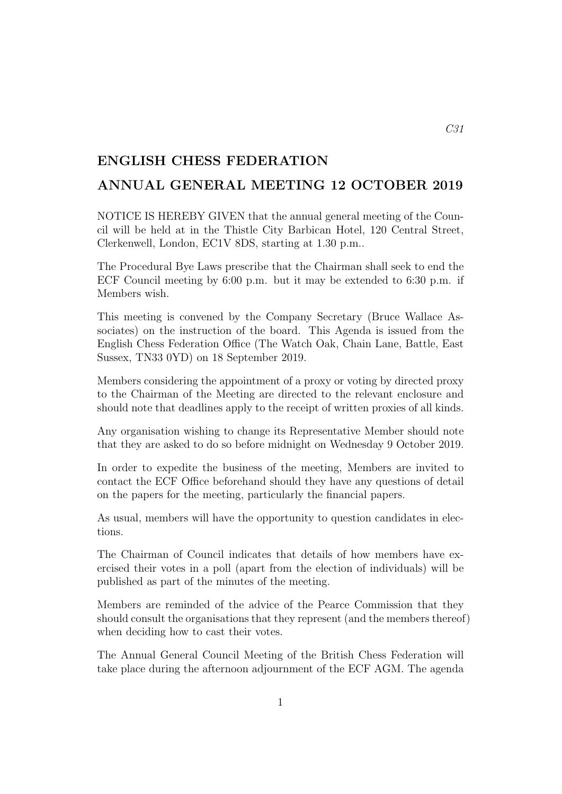## ENGLISH CHESS FEDERATION

## ANNUAL GENERAL MEETING 12 OCTOBER 2019

NOTICE IS HEREBY GIVEN that the annual general meeting of the Council will be held at in the Thistle City Barbican Hotel, 120 Central Street, Clerkenwell, London, EC1V 8DS, starting at 1.30 p.m..

The Procedural Bye Laws prescribe that the Chairman shall seek to end the ECF Council meeting by 6:00 p.m. but it may be extended to 6:30 p.m. if Members wish.

This meeting is convened by the Company Secretary (Bruce Wallace Associates) on the instruction of the board. This Agenda is issued from the English Chess Federation Office (The Watch Oak, Chain Lane, Battle, East Sussex, TN33 0YD) on 18 September 2019.

Members considering the appointment of a proxy or voting by directed proxy to the Chairman of the Meeting are directed to the relevant enclosure and should note that deadlines apply to the receipt of written proxies of all kinds.

Any organisation wishing to change its Representative Member should note that they are asked to do so before midnight on Wednesday 9 October 2019.

In order to expedite the business of the meeting, Members are invited to contact the ECF Office beforehand should they have any questions of detail on the papers for the meeting, particularly the financial papers.

As usual, members will have the opportunity to question candidates in elections.

The Chairman of Council indicates that details of how members have exercised their votes in a poll (apart from the election of individuals) will be published as part of the minutes of the meeting.

Members are reminded of the advice of the Pearce Commission that they should consult the organisations that they represent (and the members thereof) when deciding how to cast their votes.

The Annual General Council Meeting of the British Chess Federation will take place during the afternoon adjournment of the ECF AGM. The agenda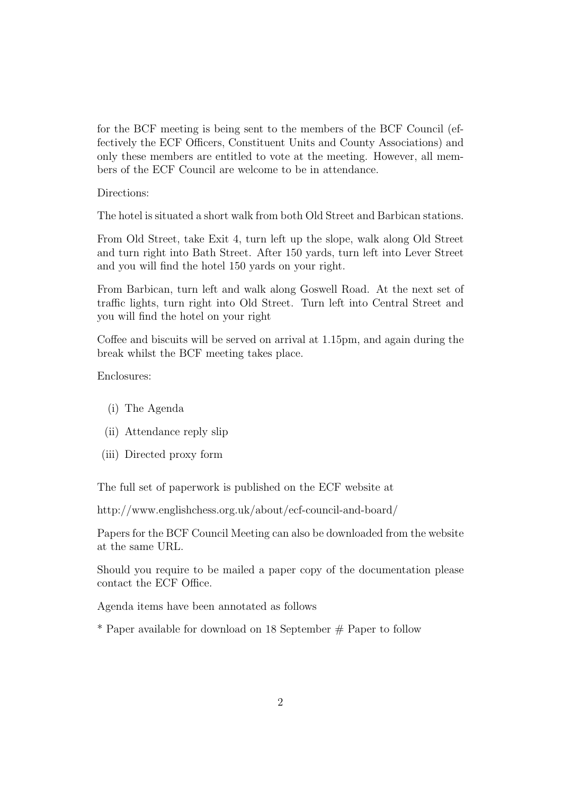for the BCF meeting is being sent to the members of the BCF Council (effectively the ECF Officers, Constituent Units and County Associations) and only these members are entitled to vote at the meeting. However, all members of the ECF Council are welcome to be in attendance.

Directions:

The hotel is situated a short walk from both Old Street and Barbican stations.

From Old Street, take Exit 4, turn left up the slope, walk along Old Street and turn right into Bath Street. After 150 yards, turn left into Lever Street and you will find the hotel 150 yards on your right.

From Barbican, turn left and walk along Goswell Road. At the next set of traffic lights, turn right into Old Street. Turn left into Central Street and you will find the hotel on your right

Coffee and biscuits will be served on arrival at 1.15pm, and again during the break whilst the BCF meeting takes place.

Enclosures:

- (i) The Agenda
- (ii) Attendance reply slip
- (iii) Directed proxy form

The full set of paperwork is published on the ECF website at

http://www.englishchess.org.uk/about/ecf-council-and-board/

Papers for the BCF Council Meeting can also be downloaded from the website at the same URL.

Should you require to be mailed a paper copy of the documentation please contact the ECF Office.

Agenda items have been annotated as follows

 $*$  Paper available for download on 18 September  $#$  Paper to follow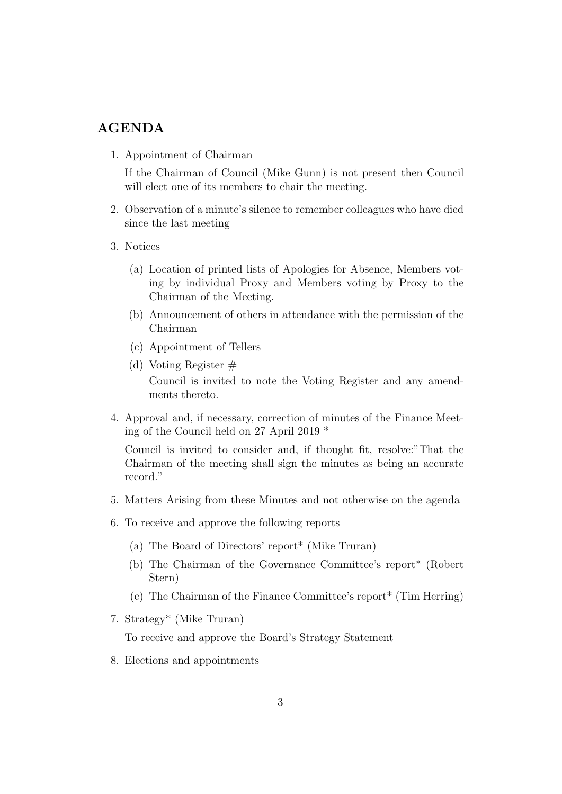## AGENDA

1. Appointment of Chairman

If the Chairman of Council (Mike Gunn) is not present then Council will elect one of its members to chair the meeting.

- 2. Observation of a minute's silence to remember colleagues who have died since the last meeting
- 3. Notices
	- (a) Location of printed lists of Apologies for Absence, Members voting by individual Proxy and Members voting by Proxy to the Chairman of the Meeting.
	- (b) Announcement of others in attendance with the permission of the Chairman
	- (c) Appointment of Tellers
	- (d) Voting Register  $#$ Council is invited to note the Voting Register and any amendments thereto.
- 4. Approval and, if necessary, correction of minutes of the Finance Meeting of the Council held on 27 April 2019 \*

Council is invited to consider and, if thought fit, resolve:"That the Chairman of the meeting shall sign the minutes as being an accurate record."

- 5. Matters Arising from these Minutes and not otherwise on the agenda
- 6. To receive and approve the following reports
	- (a) The Board of Directors' report\* (Mike Truran)
	- (b) The Chairman of the Governance Committee's report\* (Robert Stern)
	- (c) The Chairman of the Finance Committee's report\* (Tim Herring)
- 7. Strategy\* (Mike Truran)

To receive and approve the Board's Strategy Statement

8. Elections and appointments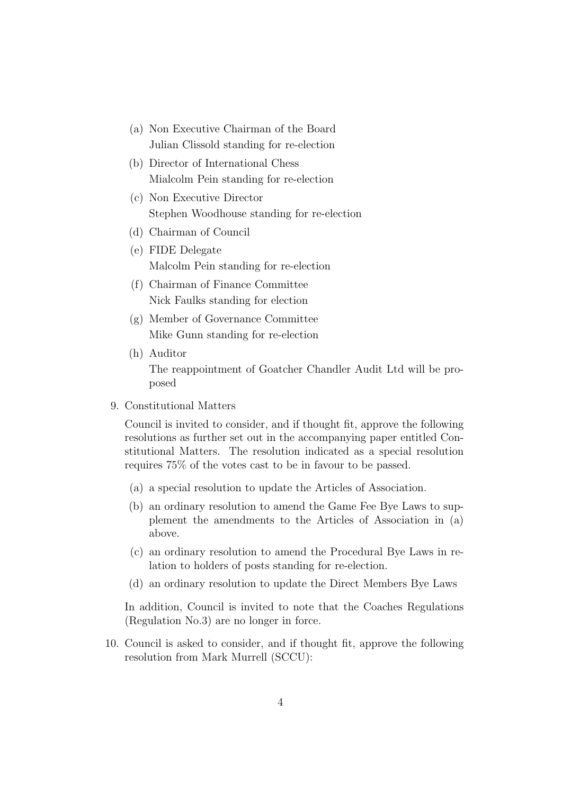- (a) Non Executive Chairman of the Board Julian Clissold standing for re-election
- (b) Director of International Chess Mialcolm Pein standing for re-election
- (c) Non Executive Director Stephen Woodhouse standing for re-election
- (d) Chairman of Council
- (e) FIDE Delegate Malcolm Pein standing for re-election
- (f) Chairman of Finance Committee Nick Faulks standing for election
- (g) Member of Governance Committee Mike Gunn standing for re-election
- (h) Auditor The reappointment of Goatcher Chandler Audit Ltd will be proposed
- 9. Constitutional Matters

Council is invited to consider, and if thought fit, approve the following resolutions as further set out in the accompanying paper entitled Constitutional Matters. The resolution indicated as a special resolution requires 75% of the votes cast to be in favour to be passed.

- (a) a special resolution to update the Articles of Association.
- (b) an ordinary resolution to amend the Game Fee Bye Laws to supplement the amendments to the Articles of Association in (a) above.
- (c) an ordinary resolution to amend the Procedural Bye Laws in relation to holders of posts standing for re-election.
- (d) an ordinary resolution to update the Direct Members Bye Laws

In addition, Council is invited to note that the Coaches Regulations (Regulation No.3) are no longer in force.

10. Council is asked to consider, and if thought fit, approve the following resolution from Mark Murrell (SCCU):